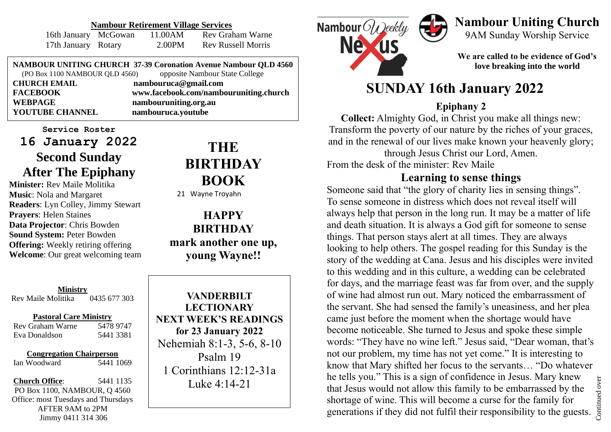#### **Nambour Retirement Village Services**

| 16th January McGowan | 11.00AM | <b>Rev Graham Warne</b>   |
|----------------------|---------|---------------------------|
| 17th January Rotary  | 2.00PM  | <b>Rev Russell Morris</b> |

**NAMBOUR UNITING CHURCH 37-39 Coronation Avenue Nambour QLD 4560** (PO Box 1100 NAMBOUR QLD 4560) opposite Nambour State College **CHURCH EMAIL nambouruca@gmail.com FACEBOOK www.facebook.com/nambouruniting.church WEBPAGE nambouruniting.org.au YOUTUBE CHANNEL nambouruca.youtube**

**Service Roster 16 January 2022 Second Sunday After The Epiphany**

**Minister:** Rev Maile Molitika **Music**: Nola and Margaret **Readers**: Lyn Colley, Jimmy Stewart **Prayers**: Helen Staines **Data Projector**: Chris Bowden **Sound System:** Peter Bowden **Offering:** Weekly retiring offering **Welcome**: Our great welcoming team

**Ministry** Rev Maile Molitika 0435 677 303

#### **Pastoral Care Ministry**

Rev Graham Warne 5478 9747 Eva Donaldson 5441 3381

#### **Congregation Chairperson** Ian Woodward 5441 1069

**Church Office**: 5441 1135 PO Box 1100, NAMBOUR, Q 4560 Office: most Tuesdays and Thursdays AFTER 9AM to 2PM Jimmy 0411 314 306

# **THE BIRTHDAY BOOK**

21 Wayne Troyahn

**HAPPY BIRTHDAY mark another one up, young Wayne!!**

**VANDERBILT LECTIONARY NEXT WEEK'S READINGS for 23 January 2022** Nehemiah 8:1-3, 5-6, 8-10 Psalm 19 1 Corinthians 12:12-31a Luke 4:14-21



### **Nambour Uniting Church** 9AM Sunday Worship Service

**We are called to be evidence of God's love breaking into the world**

## **SUNDAY 16th January 2022**

#### **Epiphany 2**

**Collect:** Almighty God, in Christ you make all things new: Transform the poverty of our nature by the riches of your graces, and in the renewal of our lives make known your heavenly glory; through Jesus Christ our Lord, Amen.

From the desk of the minister: Rev Maile

### **Learning to sense things**

Someone said that "the glory of charity lies in sensing things". To sense someone in distress which does not reveal itself will always help that person in the long run. It may be a matter of life and death situation. It is always a God gift for someone to sense things. That person stays alert at all times. They are always looking to help others. The gospel reading for this Sunday is the story of the wedding at Cana. Jesus and his disciples were invited to this wedding and in this culture, a wedding can be celebrated for days, and the marriage feast was far from over, and the supply of wine had almost run out. Mary noticed the embarrassment of the servant. She had sensed the family's uneasiness, and her plea came just before the moment when the shortage would have become noticeable. She turned to Jesus and spoke these simple words: "They have no wine left." Jesus said, "Dear woman, that's not our problem, my time has not yet come." It is interesting to know that Mary shifted her focus to the servants… "Do whatever he tells you." This is a sign of confidence in Jesus. Mary knew that Jesus would not allow this family to be embarrassed by the shortage of wine. This will become a curse for the family for generations if they did not fulfil their responsibility to the guests.